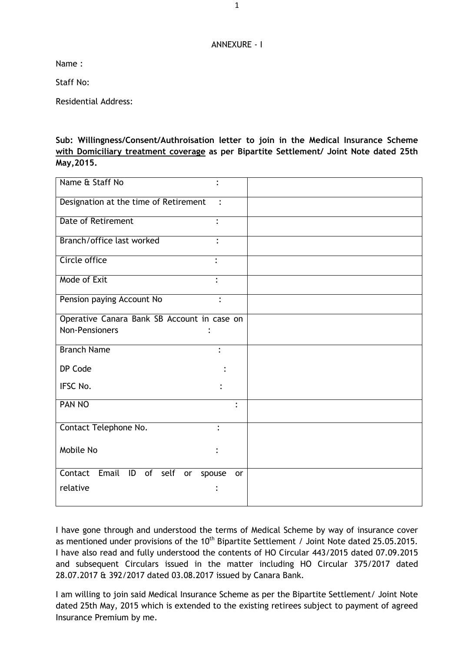## ANNEXURE - I

Name :

Staff No:

Residential Address:

**Sub: Willingness/Consent/Authroisation letter to join in the Medical Insurance Scheme with Domiciliary treatment coverage as per Bipartite Settlement/ Joint Note dated 25th May,2015.**

| Name & Staff No                                         |  |
|---------------------------------------------------------|--|
| Designation at the time of Retirement<br>$\ddot{\cdot}$ |  |
| <b>Date of Retirement</b><br>$\bullet$                  |  |
| Branch/office last worked                               |  |
| Circle office<br>$\ddot{\cdot}$                         |  |
| Mode of Exit                                            |  |
| Pension paying Account No<br>$\ddot{\cdot}$             |  |
| Operative Canara Bank SB Account in case on             |  |
| <b>Non-Pensioners</b>                                   |  |
| <b>Branch Name</b><br>$\ddot{\cdot}$                    |  |
| DP Code                                                 |  |
| IFSC No.                                                |  |
| PAN NO<br>$\ddot{\cdot}$                                |  |
| Contact Telephone No.                                   |  |
| Mobile No                                               |  |
| Contact<br>Email<br>ID of self<br>or<br>spouse<br>or    |  |
| relative                                                |  |

I have gone through and understood the terms of Medical Scheme by way of insurance cover as mentioned under provisions of the  $10<sup>th</sup>$  Bipartite Settlement / Joint Note dated 25.05.2015. I have also read and fully understood the contents of HO Circular 443/2015 dated 07.09.2015 and subsequent Circulars issued in the matter including HO Circular 375/2017 dated 28.07.2017 & 392/2017 dated 03.08.2017 issued by Canara Bank.

I am willing to join said Medical Insurance Scheme as per the Bipartite Settlement/ Joint Note dated 25th May, 2015 which is extended to the existing retirees subject to payment of agreed Insurance Premium by me.